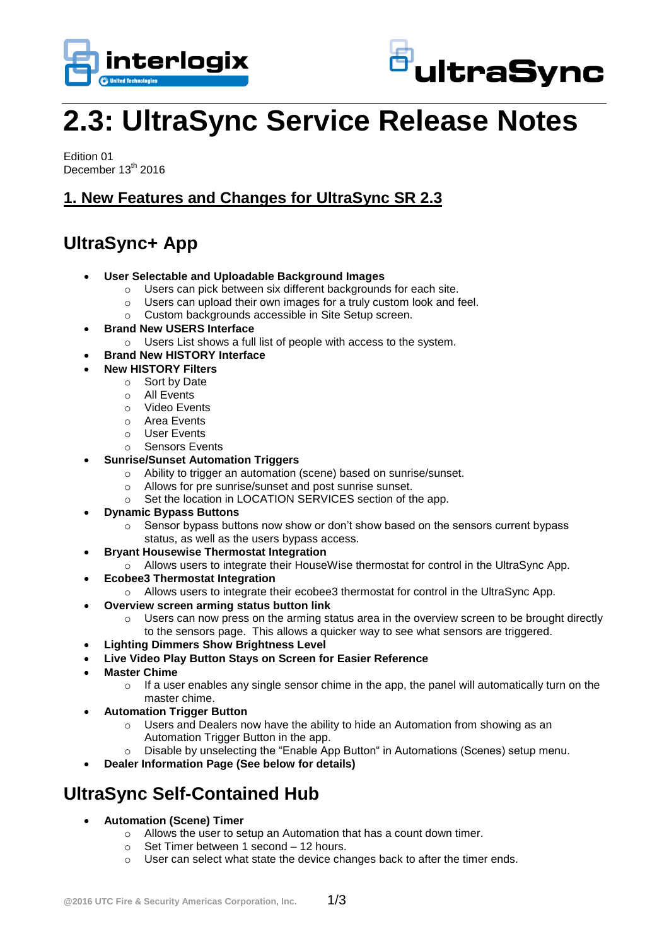



# **2.3: UltraSync Service Release Notes**

Edition 01 December 13<sup>th</sup> 2016

## **1. New Features and Changes for UltraSync SR 2.3**

# **UltraSync+ App**

- **User Selectable and Uploadable Background Images**
	- o Users can pick between six different backgrounds for each site.
	- o Users can upload their own images for a truly custom look and feel.
	- o Custom backgrounds accessible in Site Setup screen.
- **Brand New USERS Interface** 
	- o Users List shows a full list of people with access to the system.
- **Brand New HISTORY Interface**
- **New HISTORY Filters**
	- o Sort by Date
	- o All Events
	- o Video Events
	- o Area Events
	- o User Events
	- o Sensors Events
- **Sunrise/Sunset Automation Triggers**
	- o Ability to trigger an automation (scene) based on sunrise/sunset.
	- o Allows for pre sunrise/sunset and post sunrise sunset.
	- o Set the location in LOCATION SERVICES section of the app.
- **Dynamic Bypass Buttons**
	- $\circ$  Sensor bypass buttons now show or don't show based on the sensors current bypass status, as well as the users bypass access.
- **Bryant Housewise Thermostat Integration**
	- o Allows users to integrate their HouseWise thermostat for control in the UltraSync App.
- **Ecobee3 Thermostat Integration**
	- o Allows users to integrate their ecobee3 thermostat for control in the UltraSync App.
	- **Overview screen arming status button link**
		- $\circ$  Users can now press on the arming status area in the overview screen to be brought directly to the sensors page. This allows a quicker way to see what sensors are triggered.
- **Lighting Dimmers Show Brightness Level**
- **Live Video Play Button Stays on Screen for Easier Reference**
- **Master Chime**
	- $\circ$  If a user enables any single sensor chime in the app, the panel will automatically turn on the master chime.
- **Automation Trigger Button**
	- $\circ$  Users and Dealers now have the ability to hide an Automation from showing as an Automation Trigger Button in the app.
	- o Disable by unselecting the "Enable App Button" in Automations (Scenes) setup menu.
- **Dealer Information Page (See below for details)**

# **UltraSync Self-Contained Hub**

- **Automation (Scene) Timer**
	- o Allows the user to setup an Automation that has a count down timer.
	- o Set Timer between 1 second 12 hours.
	- o User can select what state the device changes back to after the timer ends.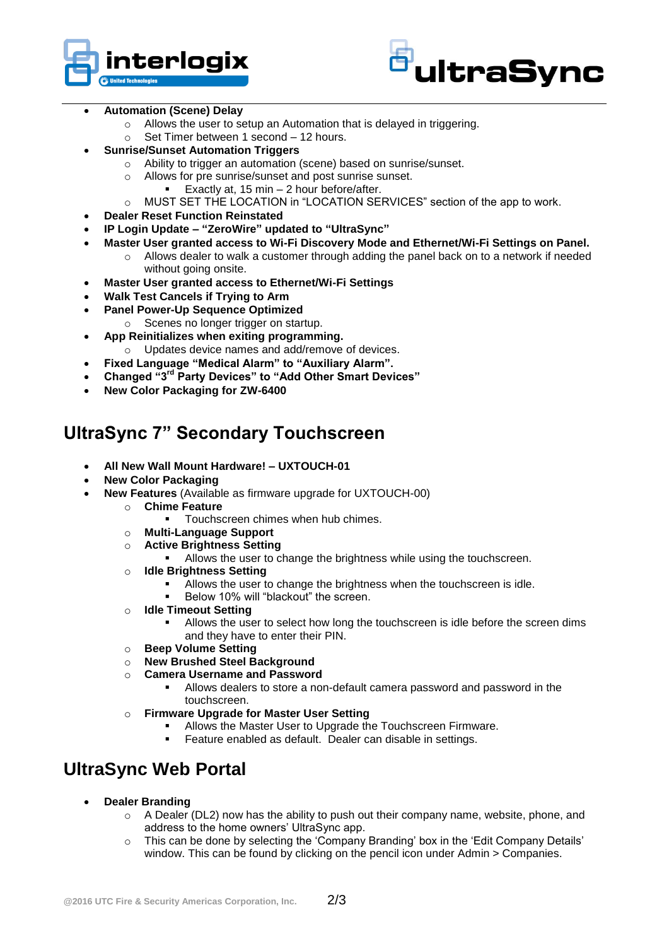



#### **Automation (Scene) Delay**

- o Allows the user to setup an Automation that is delayed in triggering.
- o Set Timer between 1 second 12 hours.
- **Sunrise/Sunset Automation Triggers**
	- o Ability to trigger an automation (scene) based on sunrise/sunset.
	- o Allows for pre sunrise/sunset and post sunrise sunset.
	- **Exactly at, 15 min 2 hour before/after.**
	- o MUST SET THE LOCATION in "LOCATION SERVICES" section of the app to work.
- **Dealer Reset Function Reinstated**
- **IP Login Update – "ZeroWire" updated to "UltraSync"**
- **Master User granted access to Wi-Fi Discovery Mode and Ethernet/Wi-Fi Settings on Panel.**
	- o Allows dealer to walk a customer through adding the panel back on to a network if needed without going onsite.
- **Master User granted access to Ethernet/Wi-Fi Settings**
- **Walk Test Cancels if Trying to Arm**
- **Panel Power-Up Sequence Optimized**
	- o Scenes no longer trigger on startup.
- **App Reinitializes when exiting programming.**
- o Updates device names and add/remove of devices.
- **Fixed Language "Medical Alarm" to "Auxiliary Alarm".**
- **Changed "3rd Party Devices" to "Add Other Smart Devices"**
- **New Color Packaging for ZW-6400**

## **UltraSync 7" Secondary Touchscreen**

- **All New Wall Mount Hardware! – UXTOUCH-01**
- **New Color Packaging**
- **New Features** (Available as firmware upgrade for UXTOUCH-00)
	- o **Chime Feature**
		- **Touchscreen chimes when hub chimes.**
	- o **Multi-Language Support**
	- o **Active Brightness Setting**
		- **Allows the user to change the brightness while using the touchscreen.**
	- o **Idle Brightness Setting**
		- Allows the user to change the brightness when the touchscreen is idle.
		- Below 10% will "blackout" the screen.
	- o **Idle Timeout Setting**
		- Allows the user to select how long the touchscreen is idle before the screen dims and they have to enter their PIN.
	- o **Beep Volume Setting**
	- o **New Brushed Steel Background**
	- **Camera Username and Password** 
		- Allows dealers to store a non-default camera password and password in the touchscreen.
	- o **Firmware Upgrade for Master User Setting**
		- **Allows the Master User to Upgrade the Touchscreen Firmware.**
		- **Feature enabled as default. Dealer can disable in settings.**

## **UltraSync Web Portal**

- **Dealer Branding**
	- $\circ$  A Dealer (DL2) now has the ability to push out their company name, website, phone, and address to the home owners' UltraSync app.
	- o This can be done by selecting the 'Company Branding' box in the 'Edit Company Details' window. This can be found by clicking on the pencil icon under Admin > Companies.